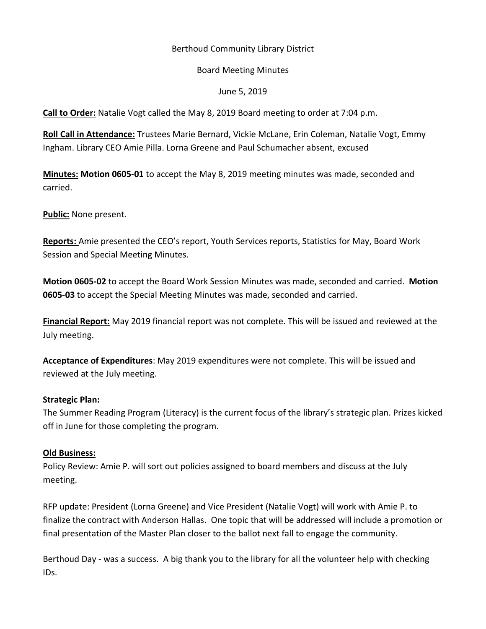# Berthoud Community Library District

#### Board Meeting Minutes

# June 5, 2019

**Call to Order:** Natalie Vogt called the May 8, 2019 Board meeting to order at 7:04 p.m.

**Roll Call in Attendance:** Trustees Marie Bernard, Vickie McLane, Erin Coleman, Natalie Vogt, Emmy Ingham. Library CEO Amie Pilla. Lorna Greene and Paul Schumacher absent, excused

**Minutes: Motion 0605-01** to accept the May 8, 2019 meeting minutes was made, seconded and carried.

**Public:** None present.

**Reports:** Amie presented the CEO's report, Youth Services reports, Statistics for May, Board Work Session and Special Meeting Minutes.

**Motion 0605-02** to accept the Board Work Session Minutes was made, seconded and carried. **Motion 0605-03** to accept the Special Meeting Minutes was made, seconded and carried.

**Financial Report:** May 2019 financial report was not complete. This will be issued and reviewed at the July meeting.

**Acceptance of Expenditures**: May 2019 expenditures were not complete. This will be issued and reviewed at the July meeting.

#### **Strategic Plan:**

The Summer Reading Program (Literacy) is the current focus of the library's strategic plan. Prizes kicked off in June for those completing the program.

#### **Old Business:**

Policy Review: Amie P. will sort out policies assigned to board members and discuss at the July meeting.

RFP update: President (Lorna Greene) and Vice President (Natalie Vogt) will work with Amie P. to finalize the contract with Anderson Hallas. One topic that will be addressed will include a promotion or final presentation of the Master Plan closer to the ballot next fall to engage the community.

Berthoud Day - was a success. A big thank you to the library for all the volunteer help with checking IDs.